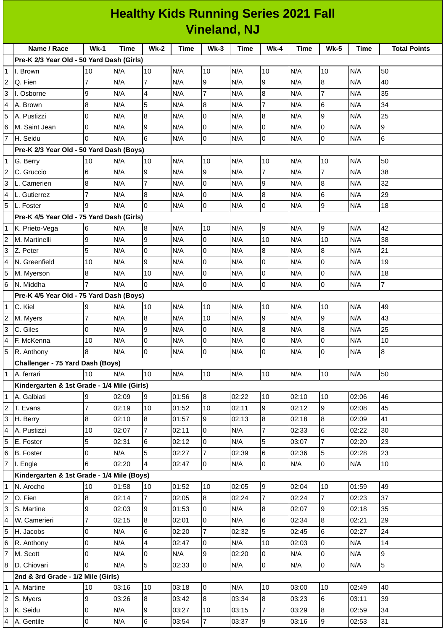## **Healthy Kids Running Series 2021 Fall Vineland, NJ**

|                     | Name / Race                                                                                               | <b>Wk-1</b>         | Time           | <b>Wk-2</b>    | Time           | $Wk-3$         | Time           | <b>Wk-4</b>      | Time           | <b>Wk-5</b>    | Time           | <b>Total Points</b> |
|---------------------|-----------------------------------------------------------------------------------------------------------|---------------------|----------------|----------------|----------------|----------------|----------------|------------------|----------------|----------------|----------------|---------------------|
|                     | Pre-K 2/3 Year Old - 50 Yard Dash (Girls)                                                                 |                     |                |                |                |                |                |                  |                |                |                |                     |
|                     | 1 I. Brown                                                                                                | 10                  | N/A            | 10             | N/A            | 10             | N/A            | 10               | N/A            | 10             | N/A            | 50                  |
| 2                   | Q. Fien                                                                                                   | 7                   | N/A            | 7              | N/A            | 9              | N/A            | 9                | N/A            | 8              | N/A            | 40                  |
| 3                   | I. Osborne                                                                                                | 9                   | N/A            | 4              | N/A            | $\overline{7}$ | N/A            | $\bf{8}$         | N/A            | $\overline{7}$ | N/A            | 35                  |
| 4                   | A. Brown                                                                                                  | 8                   | N/A            | 5              | N/A            | $\bf{8}$       | N/A            | $\overline{7}$   | N/A            | 6              | N/A            | 34                  |
| 5                   | A. Pustizzi                                                                                               | 0                   | N/A            | 8              | N/A            | $\overline{0}$ | N/A            | $\bf{8}$         | N/A            | 9              | N/A            | 25                  |
| 6                   | M. Saint Jean                                                                                             | 0                   | N/A            | 9              | N/A            | l0             | N/A            | $\overline{0}$   | N/A            | 0              | N/A            | 9                   |
| $\overline{7}$      | H. Seidu                                                                                                  | 0                   | N/A            | 6              | N/A            | l0             | N/A            | $\overline{0}$   | N/A            | 0              | N/A            | 6                   |
|                     | Pre-K 2/3 Year Old - 50 Yard Dash (Boys)<br>N/A<br>10<br>10<br>50<br>10<br>N/A<br>10<br>N/A<br>N/A<br>N/A |                     |                |                |                |                |                |                  |                |                |                |                     |
| 1                   | G. Berry                                                                                                  |                     |                | 10             |                |                |                |                  |                |                |                |                     |
| 2                   | C. Gruccio                                                                                                | 6                   | N/A            | 9              | N/A            | 9              | N/A            | $\overline{7}$   | N/A            | $\overline{7}$ | N/A            | 38                  |
| 3                   | L. Camerien                                                                                               | 8                   | N/A            | $\overline{7}$ | N/A            | $\overline{0}$ | N/A            | 9                | N/A            | 8              | N/A            | 32                  |
| 4                   | L. Gutierrez                                                                                              | 7                   | N/A            | 8              | N/A            | l0             | N/A            | $\bf 8$          | N/A            | 6              | N/A            | 29                  |
| 5                   | L. Foster                                                                                                 | 9                   | N/A            | $\Omega$       | N/A            | 0              | N/A            | $\overline{0}$   | N/A            | 9              | N/A            | 18                  |
|                     | Pre-K 4/5 Year Old - 75 Yard Dash (Girls)                                                                 |                     |                |                |                |                |                |                  |                |                |                |                     |
| 1                   | K. Prieto-Vega                                                                                            | 6                   | N/A            | $\, 8$         | N/A            | 10             | N/A            | $\boldsymbol{9}$ | N/A            | 9              | N/A            | 42                  |
| 2                   | M. Martinelli                                                                                             | 9                   | N/A            | 9              | N/A            | 0              | N/A            | 10               | N/A            | 10             | N/A            | 38                  |
| 3                   | Z. Peter                                                                                                  | 5                   | N/A            | $\pmb{0}$      | N/A            | $\overline{0}$ | N/A            | 8                | N/A            | 8              | N/A            | 21                  |
| 4                   | N. Greenfield                                                                                             | 10                  | N/A            | 9              | N/A            | 0              | N/A            | $\overline{0}$   | N/A            | 0              | N/A            | 19                  |
| 5                   | M. Myerson                                                                                                | 8                   | N/A            | 10             | N/A            | $\overline{0}$ | N/A            | $\mathsf 0$      | N/A            | 0              | N/A            | 18                  |
| 6                   | N. Middha                                                                                                 | $\overline{7}$      | N/A            | 0              | N/A            | l0             | N/A            | $\overline{0}$   | N/A            | 0              | N/A            | $\overline{7}$      |
|                     | Pre-K 4/5 Year Old - 75 Yard Dash (Boys)                                                                  |                     |                |                |                |                |                |                  |                |                |                |                     |
| 1                   | C. Kiel                                                                                                   | 9                   | N/A            | 10             | N/A            | 10             | N/A            | 10               | N/A            | 10             | N/A            | 49                  |
| 2                   | M. Myers                                                                                                  | $\overline{7}$      | N/A            | $\bf 8$        | N/A            | 10             | N/A            | 9                | N/A            | 9              | N/A            | 43                  |
| 3                   | C. Giles                                                                                                  | 0                   | N/A            | 9              | N/A            | 0              | N/A            | $\bf 8$          | N/A            | 8              | N/A            | 25                  |
| 4                   | F. McKenna                                                                                                | 10                  | N/A            | $\pmb{0}$      | N/A            | $\overline{0}$ | N/A            | $\pmb{0}$        | N/A            | 0              | N/A            | $10\,$              |
| 5                   | R. Anthony                                                                                                | 8                   | N/A            | l0             | N/A            | 0              | N/A            | $\overline{0}$   | N/A            | $\mathsf 0$    | N/A            | 8                   |
|                     | Challenger - 75 Yard Dash (Boys)                                                                          |                     |                |                |                |                |                |                  |                |                |                |                     |
|                     | 1   A. ferrari                                                                                            | 10                  | N/A            | 10             | N/A            | 10             | N/A            | 10               | N/A            | 10             | N/A            | 50                  |
|                     | Kindergarten & 1st Grade - 1/4 Mile (Girls)                                                               |                     | 02:09          | 9              |                |                | 02:22          | 10               | 02:10          | 10             |                | 46                  |
| 1                   | A. Galbiati                                                                                               | 9<br>$\overline{7}$ |                | 10             | 01:56          | 8<br>10        |                | 9                |                | 9              | 02:06          | 45                  |
| $\overline{c}$<br>3 | T. Evans                                                                                                  | 8                   | 02:19          | 8              | 01:52<br>01:57 | 9              | 02:11<br>02:13 | $8\,$            | 02:12          | $\bf{8}$       | 02:08          |                     |
| 4                   | H. Berry<br>A. Pustizzi                                                                                   | 10                  | 02:10<br>02:07 | $\overline{7}$ | 02:11          | l0             | N/A            | $\overline{7}$   | 02:18<br>02:33 | 6              | 02:09<br>02:22 | 41<br>30            |
| 5                   | E. Foster                                                                                                 | 5                   | 02:31          | 6              | 02:12          | 0              | N/A            | 5                | 03:07          | $\overline{7}$ | 02:20          | 23                  |
| 6                   | <b>B.</b> Foster                                                                                          | 0                   | N/A            | 5              | 02:27          | $\overline{7}$ | 02:39          | $6\phantom{a}$   | 02:36          | 5              | 02:28          | 23                  |
| 7                   | I. Engle                                                                                                  | 6                   | 02:20          | $\overline{4}$ | 02:47          | 0              | N/A            | $\overline{0}$   | N/A            | O              | N/A            | 10                  |
|                     | Kindergarten & 1st Grade - 1/4 Mile (Boys)                                                                |                     |                |                |                |                |                |                  |                |                |                |                     |
| 1                   | N. Arocho                                                                                                 | $10\,$              | 01:58          | 10             | 01:52          | 10             | 02:05          | 9                | 02:04          | 10             | 01:59          | 49                  |
| $\overline{c}$      | O. Fien                                                                                                   | 8                   | 02:14          | $\overline{7}$ | 02:05          | 8              | 02:24          | $\overline{7}$   | 02:24          | $\overline{7}$ | 02:23          | 37                  |
| 3                   | S. Martine                                                                                                | 9                   | 02:03          | 9              | 01:53          | 0              | N/A            | 8                | 02:07          | 9              | 02:18          | 35                  |
| 4                   | W. Camerieri                                                                                              | $\overline{7}$      | 02:15          | $\bf{8}$       | 02:01          | l0             | N/A            | $6\phantom{a}$   | 02:34          | $\overline{8}$ | 02:21          | 29                  |
| 5                   | H. Jacobs                                                                                                 | 0                   | N/A            | 6              | 02:20          | $\overline{7}$ | 02:32          | 5                | 02:45          | 6              | 02:27          | 24                  |
| 6                   |                                                                                                           | 0                   | N/A            | 4              | 02:47          | l0             | N/A            | 10               | 02:03          | 0              | N/A            | 14                  |
|                     | R. Anthony<br>M. Scott                                                                                    | 0                   | N/A            | 0              | N/A            | 9              | 02:20          | O                | N/A            | 0              | N/A            | 9                   |
| 8                   | D. Chiovari                                                                                               | 0                   | N/A            | 5              | 02:33          | $\overline{0}$ | N/A            | $\overline{0}$   | N/A            | 0              | N/A            | 5                   |
|                     | 2nd & 3rd Grade - 1/2 Mile (Girls)                                                                        |                     |                |                |                |                |                |                  |                |                |                |                     |
|                     |                                                                                                           | $10\,$              | 03:16          | 10             | 03:18          | O              |                | 10               |                | 10             | 02:49          | 40                  |
| $\mathbf 1$         | A. Martine                                                                                                |                     |                |                |                | 8              | N/A            | 8                | 03:00          |                |                | 39                  |
| 2                   | S. Myers                                                                                                  | 9                   | 03:26          | 8              | 03:42          |                | 03:34          | $\overline{7}$   | 03:23          | 6<br>8         | 03:11          | 34                  |
| 3                   | K. Seidu                                                                                                  | 0                   | N/A            | 9              | 03:27          | 10             | 03:15          |                  | 03:29          |                | 02:59          |                     |
| 4                   | A. Gentile                                                                                                | $\overline{0}$      | N/A            | $\,6\,$        | 03:54          | $\overline{7}$ | 03:37          | 9                | 03:16          | 9              | 02:53          | 31                  |